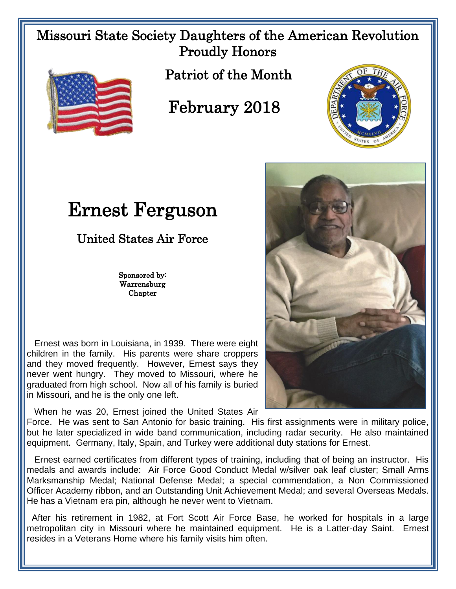## Missouri State Society Daughters of the American Revolution Proudly Honors



Patriot of the Month

## February 2018



## Ernest Ferguson

United States Air Force

Sponsored by: Warrensburg Chapter

 Ernest was born in Louisiana, in 1939. There were eight children in the family. His parents were share croppers and they moved frequently. However, Ernest says they never went hungry. They moved to Missouri, where he graduated from high school. Now all of his family is buried in Missouri, and he is the only one left.

When he was 20, Ernest joined the United States Air



Force. He was sent to San Antonio for basic training. His first assignments were in military police, but he later specialized in wide band communication, including radar security. He also maintained equipment. Germany, Italy, Spain, and Turkey were additional duty stations for Ernest.

 Ernest earned certificates from different types of training, including that of being an instructor. His medals and awards include: Air Force Good Conduct Medal w/silver oak leaf cluster; Small Arms Marksmanship Medal; National Defense Medal; a special commendation, a Non Commissioned Officer Academy ribbon, and an Outstanding Unit Achievement Medal; and several Overseas Medals. He has a Vietnam era pin, although he never went to Vietnam.

 After his retirement in 1982, at Fort Scott Air Force Base, he worked for hospitals in a large metropolitan city in Missouri where he maintained equipment. He is a Latter-day Saint. Ernest resides in a Veterans Home where his family visits him often.